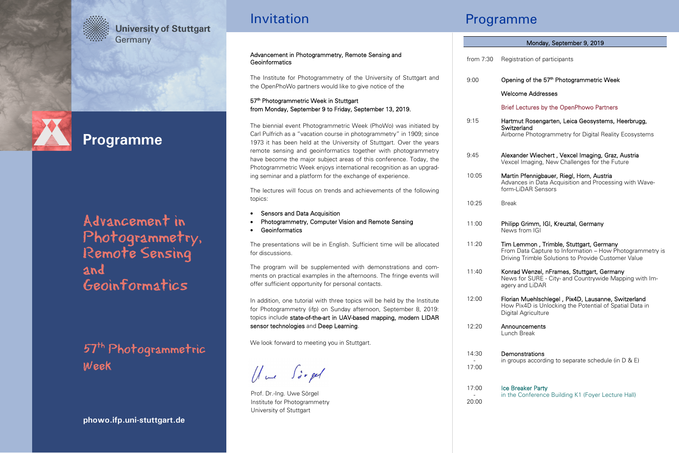## **University of Stuttgart** Germany



# **Programme**

Advancement in Photogrammetry, Remote Sensing and Geoinformatics

57th Photogrammetric Week

**phowo.ifp.uni-stuttgart.de** 

## Invitation

#### Advancement in Photogrammetry, Remote Sensing and **Geoinformatics**

The Institute for Photogrammetry of the University of Stuttgart and the OpenPhoWo partners would like to give notice of the

57<sup>th</sup> Photogrammetric Week in Stuttgart from Monday, September 9 to Friday, September 13, 2019.

The biennial event Photogrammetric Week (PhoWo) was initiated by Carl Pulfrich as a "vacation course in photogrammetry" in 1909; since 1973 it has been held at the University of Stuttgart. Over the years remote sensing and geoinformatics together with photogrammetry have become the major subject areas of this conference. Today, the Photogrammetric Week enjoys international recognition as an upgrading seminar and a platform for the exchange of experience.

The lectures will focus on trends and achievements of the following topics:

- Sensors and Data Acquisition
- Photogrammetry, Computer Vision and Remote Sensing
- Geoinformatics

The presentations will be in English. Sufficient time will be allocated for discussions.

The program will be supplemented with demonstrations and comments on practical examples in the afternoons. The fringe events will offer sufficient opportunity for personal contacts.

In addition, one tutorial with three topics will be held by the Institute for Photogrammetry (ifp) on Sunday afternoon, September 8, 2019: topics include state-of-the-art in UAV-based mapping, modern LIDAR sensor technologies and Deep Learning.

We look forward to meeting you in Stuttgart.

Hue Siegel

Prof. Dr.-Ing. Uwe Sörgel Institute for Photogrammetry University of Stuttgart

## Programme

## from 7:30 Registration of participants 9:00 9:15 9:45 10:05 10:25 11:00 11:20 11:40 12:00 12:20 14:30 - 17:00 17:00 Opening of the 57<sup>th</sup> Photogrammetric Week Welcome Addresses Brief Lectures by the OpenPhowo Partners Hartmut Rosengarten, Leica Geosystems, Heerbrugg, **Switzerland** Airborne Photogrammetry for Digital Reality Ecosystems Alexander Wiechert , Vexcel Imaging, Graz, Austria Vexcel Imaging, New Challenges for the Future Martin Pfennigbauer, Riegl, Horn, Austria Advances in Data Acquisition and Processing with Waveform-LiDAR Sensors Break Philipp Grimm, IGI, Kreuztal, Germany News from IGI Tim Lemmon , Trimble, Stuttgart, Germany From Data Capture to Information – How Photogrammetry is Driving Trimble Solutions to Provide Customer Value Konrad Wenzel, nFrames, Stuttgart, Germany News for SURE - City- and Countrywide Mapping with Imagery and LiDAR Florian Muehlschlegel , Pix4D, Lausanne, Switzerland How Pix4D is Unlocking the Potential of Spatial Data in Digital Agriculture Announcements Lunch Break **Demonstrations** in groups according to separate schedule (in D & E) Monday, September 9, 2019

| Ice Breaker Party                                  |
|----------------------------------------------------|
| in the Conference Building K1 (Foyer Lecture Hall) |
|                                                    |

 - 20:00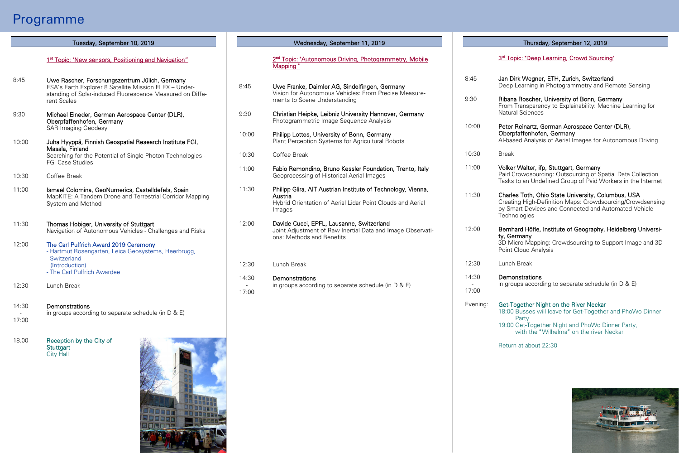## Programme

### 1<sup>st</sup> Topic: "New sensors, Positioning and Navigation"

- 8:45 Uwe Rascher, Forschungszentrum Jülich, Germany ESA's Earth Explorer 8 Satellite Mission FLEX – Understanding of Solar-induced Fluorescence Measured on Different Scales
- 9:30 Michael Eineder, German Aerospace Center (DLR), Oberpfaffenhofen, Germany SAR Imaging Geodesy
- 10:00 Juha Hyyppä, Finnish Geospatial Research Institute FGI, Masala, Finland Searching for the Potential of Single Photon Technologies - FGI Case Studies
- 10:30 Coffee Break
- 11:00 Ismael Colomina, GeoNumerics, Castelldefels, Spain MapKITE: A Tandem Drone and Terrestrial Corridor Mapping System and Method
- 11:30 Thomas Hobiger, University of Stuttgart Navigation of Autonomous Vehicles - Challenges and Risks
- $12:00$ The Carl Pulfrich Award 2019 Ceremony - Hartmut Rosengarten, Leica Geosystems, Heerbrugg, **Switzerland**  (Introduction) - The Carl Pulfrich Awardee
- $12:30$ Lunch Break
- 14:30 Demonstrations
- 17:00 in groups according to separate schedule (in D & E)
- 18.00 Reception by the City of **Stuttgart** City Hall



#### Tuesday, September 10, 2019 Thursday, September 12, 2019 Wednesday, September 11, 2019

2<sup>nd</sup> Topic: "Autonomous Driving, Photogrammetry, Mobile Mapping "

- 8:45 Uwe Franke, Daimler AG, Sindelfingen, Germany Vision for Autonomous Vehicles: From Precise Measurements to Scene Understanding
- 9:30 Christian Heipke, Leibniz University Hannover, Germany Photogrammetric Image Sequence Analysis
- 10:00 Philipp Lottes, University of Bonn, Germany Plant Perception Systems for Agricultural Robots
- 10:30 Coffee Break
- 11:00 Fabio Remondino, Bruno Kessler Foundation, Trento, Italy Geoprocessing of Historical Aerial Images
- 11:30 Philipp Glira, AIT Austrian Institute of Technology, Vienna, Austria Hybrid Orientation of Aerial Lidar Point Clouds and Aerial Images

 $12:00$ Davide Cucci, EPFL, Lausanne, Switzerland Joint Adjustment of Raw Inertial Data and Image Observations: Methods and Benefits

 $12:30$ Lunch Break

-

#### 14:30 **Demonstrations**

17:00 in groups according to separate schedule (in D & E)

#### 3<sup>rd</sup> Topic: "Deep Learning, Crowd Sourcing"

- Jan Dirk Wegner, ETH, Zurich, Switzerland Deep Learning in Photogrammetry and Remote Sensing Ribana Roscher, University of Bonn, Germany From Transparency to Explainability: Machine Learning for Natural Sciences Peter Reinartz, German Aerospace Center (DLR), Oberpfaffenhofen, Germany AI-based Analysis of Aerial Images for Autonomous Driving Break
- 11:00 Volker Walter, ifp, Stuttgart, Germany Paid Crowdsourcing: Outsourcing of Spatial Data Collection Tasks to an Undefined Group of Paid Workers in the Internet
- 11:30 Charles Toth, Ohio State University, Columbus, USA Creating High-Definition Maps: Crowdsourcing/Crowdsensing by Smart Devices and Connected and Automated Vehicle **Technologies**
- 12:00 Bernhard Höfle, Institute of Geography, Heidelberg University, Germany 3D Micro-Mapping: Crowdsourcing to Support Image and 3D

Point Cloud Analysis

12:30 Lunch Break

8:45

9:30

10:00

10:30

-

#### 14:30 **Demonstrations**

17:00 in groups according to separate schedule (in D & E)

Evening: Get-Together Night on the River Neckar 18:00 Busses will leave for Get-Together and PhoWo Dinner Party

> 19:00 Get-Together Night and PhoWo Dinner Party. with the "Wilhelma" on the river Neckar

Return at about 22:30